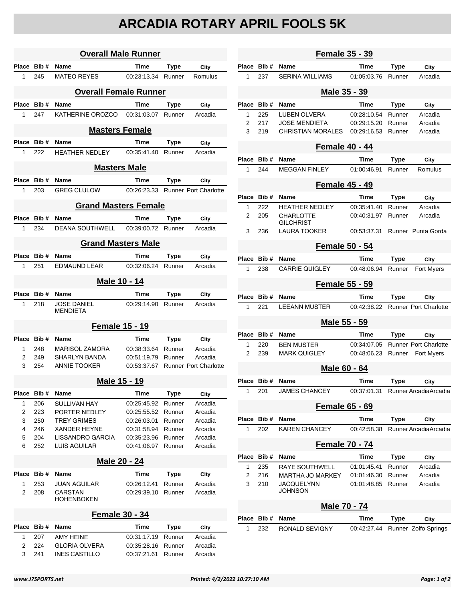## **ARCADIA ROTARY APRIL FOOLS 5K**

| <b>Overall Male Runner</b>   |                       |                                                            |                            |                  |                                   |  |  |  |
|------------------------------|-----------------------|------------------------------------------------------------|----------------------------|------------------|-----------------------------------|--|--|--|
| Place                        | Bib #                 | <b>Name</b>                                                | Time                       | Type             | City                              |  |  |  |
| 1                            | 245                   | <b>MATEO REYES</b>                                         | 00:23:13.34 Runner         |                  | Romulus                           |  |  |  |
| <b>Overall Female Runner</b> |                       |                                                            |                            |                  |                                   |  |  |  |
|                              | Place Bib #           | <b>Name</b>                                                | Time                       | Type             | City                              |  |  |  |
| 1                            | 247                   | KATHERINE OROZCO                                           | 00:31:03.07                | Runner           | Arcadia                           |  |  |  |
|                              | <b>Masters Female</b> |                                                            |                            |                  |                                   |  |  |  |
|                              | Place Bib#            | <b>Name</b>                                                | Time                       | <b>Type</b>      | City                              |  |  |  |
| 1                            | 222                   | HEATHER NEDLEY                                             | 00:35:41.40                | Runner           | Arcadia                           |  |  |  |
| <b>Masters Male</b>          |                       |                                                            |                            |                  |                                   |  |  |  |
| Place                        | Bib #                 | Name                                                       | Time                       | <b>Type</b>      | City                              |  |  |  |
| 1                            | 203                   | <b>GREG CLULOW</b>                                         |                            |                  | 00:26:23.33 Runner Port Charlotte |  |  |  |
| <b>Grand Masters Female</b>  |                       |                                                            |                            |                  |                                   |  |  |  |
|                              | Place Bib #           | Name                                                       | <b>Time</b>                | Type             | City                              |  |  |  |
| 1                            | 234                   | <b>DEANA SOUTHWELL</b>                                     | 00:39:00.72 Runner         |                  | Arcadia                           |  |  |  |
| <b>Grand Masters Male</b>    |                       |                                                            |                            |                  |                                   |  |  |  |
|                              | Place Bib#            | Name                                                       | Time                       | Type             | City                              |  |  |  |
| 1                            | 251                   | <b>FDMAUND LEAR</b>                                        | 00:32:06.24                | Runner           | Arcadia                           |  |  |  |
|                              | <u>Male 10 - 14</u>   |                                                            |                            |                  |                                   |  |  |  |
| Place                        | Bib #                 | Name                                                       | Time                       | Type             | City                              |  |  |  |
| 1                            | 218                   | <b>JOSE DANIEL</b><br><b>MENDIETA</b>                      | 00:29:14.90                | Runner           | Arcadia                           |  |  |  |
|                              | <b>Female 15 - 19</b> |                                                            |                            |                  |                                   |  |  |  |
| Place                        | Bib #                 | <b>Name</b>                                                | Time                       | Type             | City                              |  |  |  |
| 1.                           | 248                   | <b>MARISOL ZAMORA</b>                                      | 00:38:33.64                | Runner           | Arcadia                           |  |  |  |
| 2                            | 249                   | SHARLYN BANDA                                              | 00:51:19.79                | Runner           | Arcadia                           |  |  |  |
| 3                            | 254                   | <b>ANNIE TOOKER</b>                                        | 00:53:37.67                |                  | <b>Runner Port Charlotte</b>      |  |  |  |
| Male 15 - 19                 |                       |                                                            |                            |                  |                                   |  |  |  |
| Place                        | Bib#                  | Name                                                       | <b>Time</b>                | <b>Type</b>      | City                              |  |  |  |
| 1                            | 206                   | SULLIVAN HAY                                               | 00:25:45.92                | Runner           | Arcadia                           |  |  |  |
| 2                            | 223                   | PORTER NEDLEY                                              | 00:25:55.52                | Runner           | Arcadia                           |  |  |  |
| 3                            | 250                   | <b>TREY GRIMES</b>                                         | 00:26:03.01                | Runner           | Arcadia                           |  |  |  |
| 4                            | 246                   | <b>XANDER HEYNE</b>                                        | 00:31:58.94                | Runner           | Arcadia                           |  |  |  |
| 5                            | 204                   | LISSANDRO GARCIA<br><b>LUIS AGUILAR</b>                    | 00:35:23.96                | Runner           | Arcadia<br>Arcadia                |  |  |  |
| 6                            | 252                   |                                                            | 00:41:06.97                | Runner           |                                   |  |  |  |
| <u> Male 20 - 24</u>         |                       |                                                            |                            |                  |                                   |  |  |  |
| <b>Place</b>                 | Bib#                  | Name                                                       | Time                       | <b>Type</b>      | City                              |  |  |  |
| 1<br>2                       | 253<br>208            | <b>JUAN AGUILAR</b><br><b>CARSTAN</b><br><b>HOHENBOKEN</b> | 00:26:12.41<br>00:29:39.10 | Runner<br>Runner | Arcadia<br>Arcadia                |  |  |  |
|                              |                       | Female 30 - 34                                             |                            |                  |                                   |  |  |  |
| Place                        | Bib#                  | Name                                                       | Time                       | <b>Type</b>      | City                              |  |  |  |
| 1                            | 207                   | <b>AMY HEINE</b>                                           | 00:31:17.19                | Runner           | Arcadia                           |  |  |  |
| 2                            | 224                   | <b>GLORIA OLVERA</b>                                       | 00:35:28.16                | Runner           | Arcadia                           |  |  |  |
| 3                            | 241                   | <b>INES CASTILLO</b>                                       | 00:37:21.61                | Runner           | Arcadia                           |  |  |  |

|                       | <b>Female 35 - 39</b> |                                         |             |             |                                    |  |  |  |
|-----------------------|-----------------------|-----------------------------------------|-------------|-------------|------------------------------------|--|--|--|
| Place Bib#            |                       | Name                                    | Time        | Type        | City                               |  |  |  |
| 1                     | 237                   | <b>SERINA WILLIAMS</b>                  | 01:05:03.76 | Runner      | Arcadia                            |  |  |  |
| <u> Male 35 - 39</u>  |                       |                                         |             |             |                                    |  |  |  |
| Place                 | Bib#                  | Name                                    | <b>Time</b> | Type        | City                               |  |  |  |
| 1                     | 225                   | LUBEN OLVERA                            | 00:28:10.54 | Runner      | Arcadia                            |  |  |  |
| 2                     | 217                   | <b>JOSE MENDIETA</b>                    | 00:29:15.20 | Runner      | Arcadia                            |  |  |  |
| 3                     | 219                   | <b>CHRISTIAN MORALES</b>                | 00:29:16.53 | Runner      | Arcadia                            |  |  |  |
| <b>Female 40 - 44</b> |                       |                                         |             |             |                                    |  |  |  |
| Place                 | Bib#                  | Name                                    | <b>Time</b> | <b>Type</b> | City                               |  |  |  |
| 1                     | 244                   | <b>MEGGAN FINLEY</b>                    | 01:00:46.91 | Runner      | Romulus                            |  |  |  |
|                       |                       | <b>Female 45 - 49</b>                   |             |             |                                    |  |  |  |
| Place                 | Bib#                  | Name                                    | Time        | Type        | City                               |  |  |  |
| 1                     | 222                   | <b>HEATHER NEDLEY</b>                   | 00:35:41.40 | Runner      | Arcadia                            |  |  |  |
| 2                     | 205                   | CHARLOTTE                               | 00:40:31.97 | Runner      | Arcadia                            |  |  |  |
| 3                     | 236                   | <b>GILCHRIST</b><br><b>LAURA TOOKER</b> | 00:53:37.31 |             | Runner Punta Gorda                 |  |  |  |
|                       | <b>Female 50 - 54</b> |                                         |             |             |                                    |  |  |  |
| Place                 | Bib#                  | Name                                    | Time        | Type        | City                               |  |  |  |
| 1                     | 238                   | CARRIE QUIGLEY                          | 00:48:06.94 | Runner      | <b>Fort Myers</b>                  |  |  |  |
|                       |                       |                                         |             |             |                                    |  |  |  |
|                       |                       | <b>Female 55 - 59</b>                   |             |             |                                    |  |  |  |
| Place                 | Bib#                  | Name                                    | Time        | Type        | City                               |  |  |  |
| 1                     | 221                   | <b>LEEANN MUSTER</b>                    | 00:42:38.22 |             | <b>Runner Port Charlotte</b>       |  |  |  |
|                       |                       | Male 55 - 59                            |             |             |                                    |  |  |  |
| Place                 | Bib#                  | Name                                    | <b>Time</b> | Type        | City                               |  |  |  |
| 1                     | 220                   | <b>BEN MUSTER</b>                       | 00:34:07.05 |             | <b>Runner Port Charlotte</b>       |  |  |  |
| $\overline{2}$        | 239                   | <b>MARK QUIGLEY</b>                     | 00:48:06.23 | Runner      | <b>Fort Myers</b>                  |  |  |  |
|                       |                       | Male 60 - 64                            |             |             |                                    |  |  |  |
| Place Bib#            |                       | Name                                    | Time        | Type        | City                               |  |  |  |
| 1.                    | 201                   | JAMES CHANCEY                           |             |             | 00:37:01.31 Runner Arcadia Arcadia |  |  |  |
| <b>Female 65 - 69</b> |                       |                                         |             |             |                                    |  |  |  |
| Place                 | Bib#                  | Name                                    | Time        | Type        | City                               |  |  |  |
| 1                     | 202                   | <b>KAREN CHANCEY</b>                    | 00:42:58.38 |             | Runner ArcadiaArcadia              |  |  |  |
| <b>Female 70 - 74</b> |                       |                                         |             |             |                                    |  |  |  |
| Place                 | Bib#                  | Name                                    | Time        | Type        | City                               |  |  |  |
| 1                     | 235                   | RAYE SOUTHWELL                          | 01:01:45.41 | Runner      | Arcadia                            |  |  |  |
| 2                     | 216                   | MARTHA JO MARKEY                        | 01:01:46.30 | Runner      | Arcadia                            |  |  |  |
| 3                     | 210                   | JACQUELYNN<br>JOHNSON                   | 01:01:48.85 | Runner      | Arcadia                            |  |  |  |
|                       |                       | Male 70 - 74                            |             |             |                                    |  |  |  |
| Place                 | Bib#                  | Name                                    | Time        | Type        | City                               |  |  |  |
| 1                     | 232                   | RONALD SEVIGNY                          | 00:42:27.44 |             | Runner Zolfo Springs               |  |  |  |
|                       |                       |                                         |             |             |                                    |  |  |  |